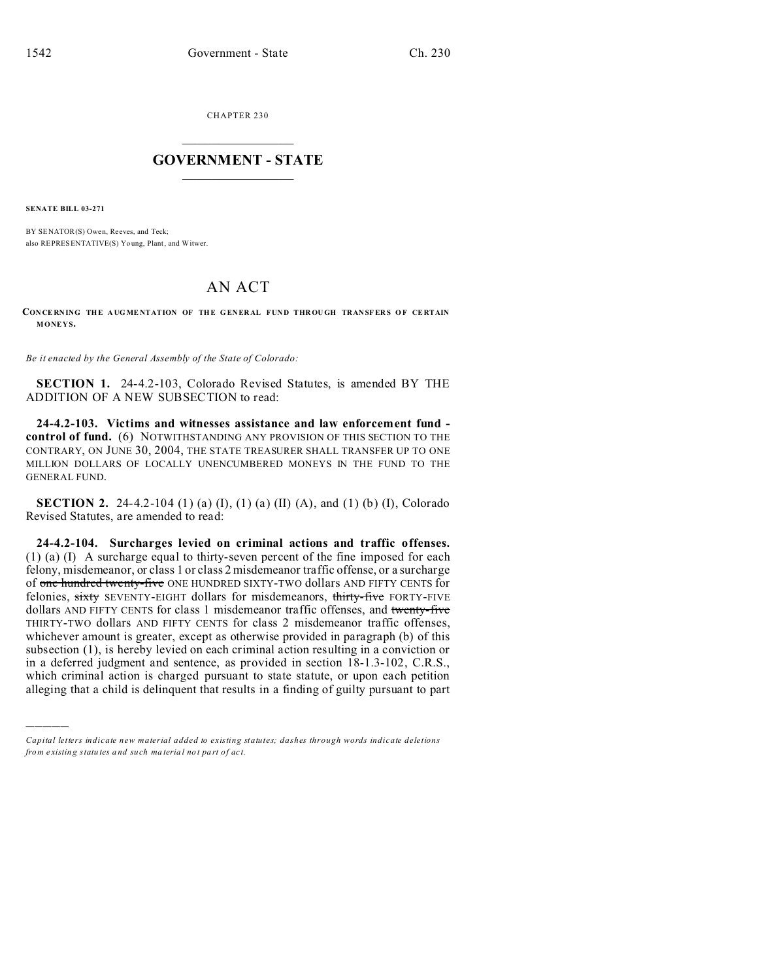CHAPTER 230  $\overline{\phantom{a}}$  , where  $\overline{\phantom{a}}$ 

## **GOVERNMENT - STATE**  $\_$   $\_$   $\_$   $\_$   $\_$   $\_$   $\_$   $\_$   $\_$

**SENATE BILL 03-271**

)))))

BY SENATOR(S) Owen, Reeves, and Teck; also REPRESENTATIVE(S) Yo ung, Plant, and Witwer.

## AN ACT

**CON CE RNING THE A UG ME NTATION OF THE G EN ER AL FUND THR OU GH TRANSF ER S O F CE RTAIN MONEYS.**

*Be it enacted by the General Assembly of the State of Colorado:*

**SECTION 1.** 24-4.2-103, Colorado Revised Statutes, is amended BY THE ADDITION OF A NEW SUBSECTION to read:

**24-4.2-103. Victims and witnesses assistance and law enforcement fund control of fund.** (6) NOTWITHSTANDING ANY PROVISION OF THIS SECTION TO THE CONTRARY, ON JUNE 30, 2004, THE STATE TREASURER SHALL TRANSFER UP TO ONE MILLION DOLLARS OF LOCALLY UNENCUMBERED MONEYS IN THE FUND TO THE GENERAL FUND.

**SECTION 2.** 24-4.2-104 (1) (a) (I), (1) (a) (II) (A), and (1) (b) (I), Colorado Revised Statutes, are amended to read:

**24-4.2-104. Surcharges levied on criminal actions and traffic offenses.** (1) (a) (I) A surcharge equal to thirty-seven percent of the fine imposed for each felony, misdemeanor, or class 1 or class 2 misdemeanor traffic offense, or a surcharge of one hundred twenty-five ONE HUNDRED SIXTY-TWO dollars AND FIFTY CENTS for felonies, sixty SEVENTY-EIGHT dollars for misdemeanors, thirty-five FORTY-FIVE dollars AND FIFTY CENTS for class 1 misdemeanor traffic offenses, and twenty-five THIRTY-TWO dollars AND FIFTY CENTS for class 2 misdemeanor traffic offenses, whichever amount is greater, except as otherwise provided in paragraph (b) of this subsection (1), is hereby levied on each criminal action resulting in a conviction or in a deferred judgment and sentence, as provided in section 18-1.3-102, C.R.S., which criminal action is charged pursuant to state statute, or upon each petition alleging that a child is delinquent that results in a finding of guilty pursuant to part

*Capital letters indicate new material added to existing statutes; dashes through words indicate deletions from e xistin g statu tes a nd such ma teria l no t pa rt of ac t.*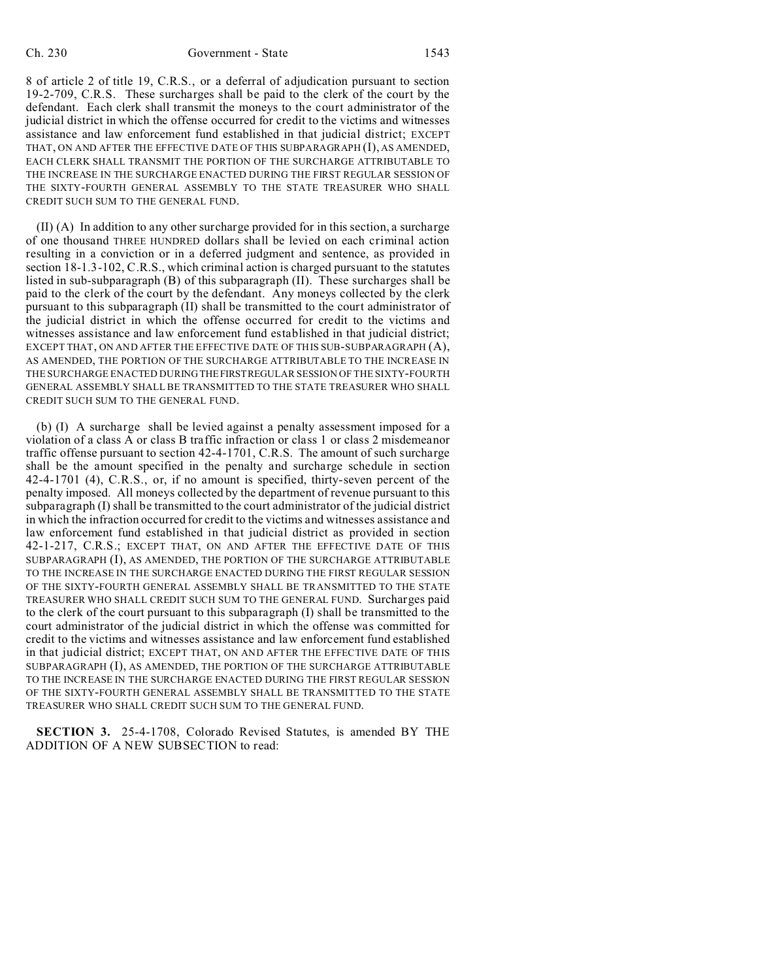8 of article 2 of title 19, C.R.S., or a deferral of adjudication pursuant to section 19-2-709, C.R.S. These surcharges shall be paid to the clerk of the court by the defendant. Each clerk shall transmit the moneys to the court administrator of the judicial district in which the offense occurred for credit to the victims and witnesses assistance and law enforcement fund established in that judicial district; EXCEPT THAT, ON AND AFTER THE EFFECTIVE DATE OF THIS SUBPARAGRAPH (I), AS AMENDED, EACH CLERK SHALL TRANSMIT THE PORTION OF THE SURCHARGE ATTRIBUTABLE TO THE INCREASE IN THE SURCHARGE ENACTED DURING THE FIRST REGULAR SESSION OF THE SIXTY-FOURTH GENERAL ASSEMBLY TO THE STATE TREASURER WHO SHALL CREDIT SUCH SUM TO THE GENERAL FUND.

(II) (A) In addition to any other surcharge provided for in this section, a surcharge of one thousand THREE HUNDRED dollars shall be levied on each criminal action resulting in a conviction or in a deferred judgment and sentence, as provided in section 18-1.3-102, C.R.S., which criminal action is charged pursuant to the statutes listed in sub-subparagraph (B) of this subparagraph (II). These surcharges shall be paid to the clerk of the court by the defendant. Any moneys collected by the clerk pursuant to this subparagraph (II) shall be transmitted to the court administrator of the judicial district in which the offense occurred for credit to the victims and witnesses assistance and law enforcement fund established in that judicial district; EXCEPT THAT, ON AND AFTER THE EFFECTIVE DATE OF THIS SUB-SUBPARAGRAPH (A), AS AMENDED, THE PORTION OF THE SURCHARGE ATTRIBUTABLE TO THE INCREASE IN THE SURCHARGE ENACTED DURING THEFIRSTREGULAR SESSION OF THE SIXTY-FOURTH GENERAL ASSEMBLY SHALL BE TRANSMITTED TO THE STATE TREASURER WHO SHALL CREDIT SUCH SUM TO THE GENERAL FUND.

(b) (I) A surcharge shall be levied against a penalty assessment imposed for a violation of a class A or class B traffic infraction or class 1 or class 2 misdemeanor traffic offense pursuant to section 42-4-1701, C.R.S. The amount of such surcharge shall be the amount specified in the penalty and surcharge schedule in section 42-4-1701 (4), C.R.S., or, if no amount is specified, thirty-seven percent of the penalty imposed. All moneys collected by the department of revenue pursuant to this subparagraph (I) shall be transmitted to the court administrator of the judicial district in which the infraction occurred for credit to the victims and witnesses assistance and law enforcement fund established in that judicial district as provided in section 42-1-217, C.R.S.; EXCEPT THAT, ON AND AFTER THE EFFECTIVE DATE OF THIS SUBPARAGRAPH (I), AS AMENDED, THE PORTION OF THE SURCHARGE ATTRIBUTABLE TO THE INCREASE IN THE SURCHARGE ENACTED DURING THE FIRST REGULAR SESSION OF THE SIXTY-FOURTH GENERAL ASSEMBLY SHALL BE TRANSMITTED TO THE STATE TREASURER WHO SHALL CREDIT SUCH SUM TO THE GENERAL FUND. Surcharges paid to the clerk of the court pursuant to this subparagraph (I) shall be transmitted to the court administrator of the judicial district in which the offense was committed for credit to the victims and witnesses assistance and law enforcement fund established in that judicial district; EXCEPT THAT, ON AND AFTER THE EFFECTIVE DATE OF THIS SUBPARAGRAPH (I), AS AMENDED, THE PORTION OF THE SURCHARGE ATTRIBUTABLE TO THE INCREASE IN THE SURCHARGE ENACTED DURING THE FIRST REGULAR SESSION OF THE SIXTY-FOURTH GENERAL ASSEMBLY SHALL BE TRANSMITTED TO THE STATE TREASURER WHO SHALL CREDIT SUCH SUM TO THE GENERAL FUND.

**SECTION 3.** 25-4-1708, Colorado Revised Statutes, is amended BY THE ADDITION OF A NEW SUBSECTION to read: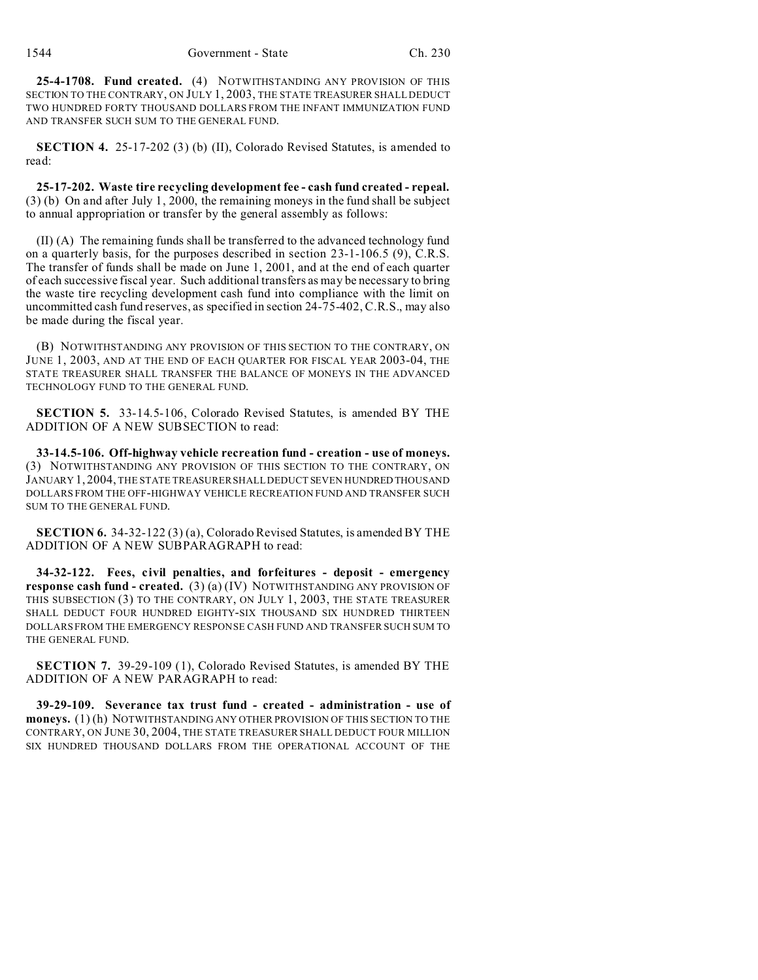**25-4-1708. Fund created.** (4) NOTWITHSTANDING ANY PROVISION OF THIS SECTION TO THE CONTRARY, ON JULY 1, 2003, THE STATE TREASURER SHALL DEDUCT TWO HUNDRED FORTY THOUSAND DOLLARS FROM THE INFANT IMMUNIZATION FUND AND TRANSFER SUCH SUM TO THE GENERAL FUND.

**SECTION 4.** 25-17-202 (3) (b) (II), Colorado Revised Statutes, is amended to read:

**25-17-202. Waste tire recycling development fee - cash fund created - repeal.** (3) (b) On and after July 1, 2000, the remaining moneys in the fund shall be subject to annual appropriation or transfer by the general assembly as follows:

(II) (A) The remaining funds shall be transferred to the advanced technology fund on a quarterly basis, for the purposes described in section 23-1-106.5 (9), C.R.S. The transfer of funds shall be made on June 1, 2001, and at the end of each quarter of each successive fiscal year. Such additional transfers as may be necessary to bring the waste tire recycling development cash fund into compliance with the limit on uncommitted cash fund reserves, as specified in section 24-75-402, C.R.S., may also be made during the fiscal year.

(B) NOTWITHSTANDING ANY PROVISION OF THIS SECTION TO THE CONTRARY, ON JUNE 1, 2003, AND AT THE END OF EACH QUARTER FOR FISCAL YEAR 2003-04, THE STATE TREASURER SHALL TRANSFER THE BALANCE OF MONEYS IN THE ADVANCED TECHNOLOGY FUND TO THE GENERAL FUND.

**SECTION 5.** 33-14.5-106, Colorado Revised Statutes, is amended BY THE ADDITION OF A NEW SUBSECTION to read:

**33-14.5-106. Off-highway vehicle recreation fund - creation - use of moneys.** (3) NOTWITHSTANDING ANY PROVISION OF THIS SECTION TO THE CONTRARY, ON JANUARY 1, 2004, THE STATE TREASURER SHALL DEDUCT SEVEN HUNDRED THOUSAND DOLLARS FROM THE OFF-HIGHWAY VEHICLE RECREATION FUND AND TRANSFER SUCH SUM TO THE GENERAL FUND.

**SECTION 6.** 34-32-122 (3) (a), Colorado Revised Statutes, is amended BY THE ADDITION OF A NEW SUBPARAGRAPH to read:

**34-32-122. Fees, civil penalties, and forfeitures - deposit - emergency response cash fund - created.** (3) (a) (IV) NOTWITHSTANDING ANY PROVISION OF THIS SUBSECTION (3) TO THE CONTRARY, ON JULY 1, 2003, THE STATE TREASURER SHALL DEDUCT FOUR HUNDRED EIGHTY-SIX THOUSAND SIX HUNDRED THIRTEEN DOLLARS FROM THE EMERGENCY RESPONSE CASH FUND AND TRANSFER SUCH SUM TO THE GENERAL FUND.

**SECTION 7.** 39-29-109 (1), Colorado Revised Statutes, is amended BY THE ADDITION OF A NEW PARAGRAPH to read:

**39-29-109. Severance tax trust fund - created - administration - use of moneys.** (1) (h) NOTWITHSTANDING ANY OTHER PROVISION OF THIS SECTION TO THE CONTRARY, ON JUNE 30, 2004, THE STATE TREASURER SHALL DEDUCT FOUR MILLION SIX HUNDRED THOUSAND DOLLARS FROM THE OPERATIONAL ACCOUNT OF THE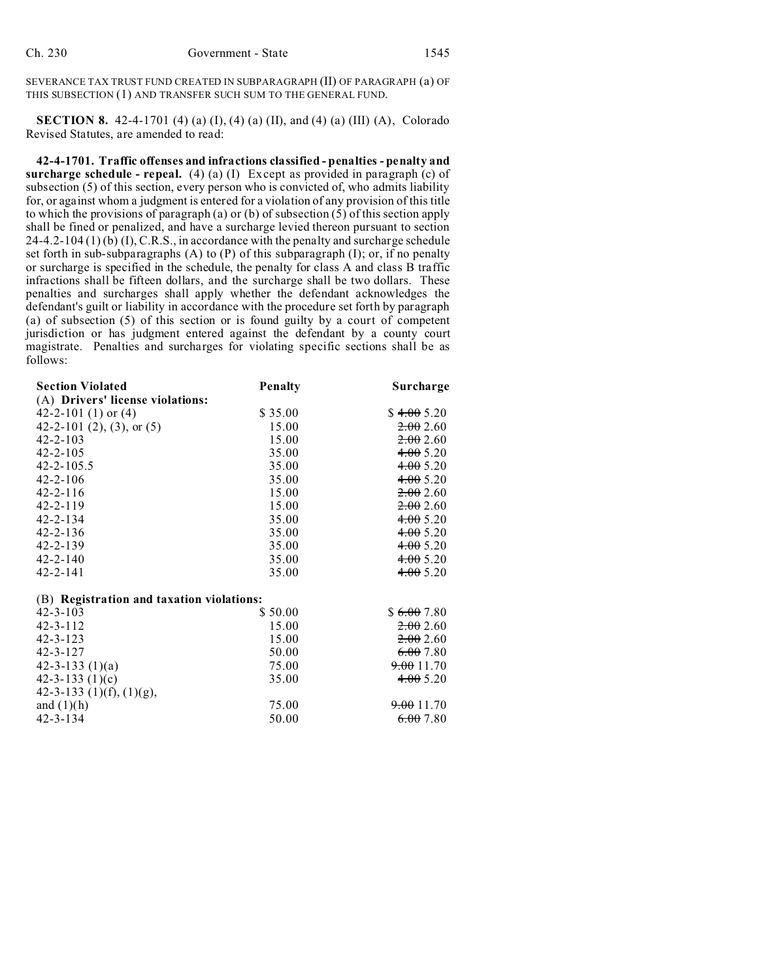SEVERANCE TAX TRUST FUND CREATED IN SUBPARAGRAPH (II) OF PARAGRAPH (a) OF THIS SUBSECTION (1) AND TRANSFER SUCH SUM TO THE GENERAL FUND.

**SECTION 8.** 42-4-1701 (4) (a) (I), (4) (a) (II), and (4) (a) (III) (A), Colorado Revised Statutes, are amended to read:

**42-4-1701. Traffic offenses and infractions classified - penalties - penalty and surcharge schedule - repeal.** (4) (a) (I) Except as provided in paragraph (c) of subsection (5) of this section, every person who is convicted of, who admits liability for, or against whom a judgment is entered for a violation of any provision of this title to which the provisions of paragraph (a) or (b) of subsection  $(5)$  of this section apply shall be fined or penalized, and have a surcharge levied thereon pursuant to section  $24-4.2-104(1)$  (b) (I), C.R.S., in accordance with the penalty and surcharge schedule set forth in sub-subparagraphs  $(A)$  to  $(P)$  of this subparagraph  $(I)$ ; or, if no penalty or surcharge is specified in the schedule, the penalty for class A and class B traffic infractions shall be fifteen dollars, and the surcharge shall be two dollars. These penalties and surcharges shall apply whether the defendant acknowledges the defendant's guilt or liability in accordance with the procedure set forth by paragraph (a) of subsection (5) of this section or is found guilty by a court of competent jurisdiction or has judgment entered against the defendant by a county court magistrate. Penalties and surcharges for violating specific sections shall be as follows:

| <b>Section Violated</b>                   | <b>Penalty</b> | Surcharge             |
|-------------------------------------------|----------------|-----------------------|
| (A) Drivers' license violations:          |                |                       |
| 42-2-101 $(1)$ or $(4)$                   | \$35.00        | \$4.005.20            |
| 42-2-101 (2), (3), or $(5)$               | 15.00          | 2.002.60              |
| $42 - 2 - 103$                            | 15.00          | 2.002.60              |
| $42 - 2 - 105$                            | 35.00          | 4.005.20              |
| $42 - 2 - 105.5$                          | 35.00          | 4.005.20              |
| $42 - 2 - 106$                            | 35.00          | 4.005.20              |
| $42 - 2 - 116$                            | 15.00          | 2.002.60              |
| $42 - 2 - 119$                            | 15.00          | 2.002.60              |
| $42 - 2 - 134$                            | 35.00          | 4.005.20              |
| $42 - 2 - 136$                            | 35.00          | 4.005.20              |
| $42 - 2 - 139$                            | 35.00          | 4.005.20              |
| $42 - 2 - 140$                            | 35.00          | 4.005.20              |
| $42 - 2 - 141$                            | 35.00          | 4.005.20              |
| (B) Registration and taxation violations: |                |                       |
| $42 - 3 - 103$                            | \$50.00        | \$6.007.80            |
| $42 - 3 - 112$                            | 15.00          | 2.002.60              |
| $42 - 3 - 123$                            | 15.00          | 2.002.60              |
| $42 - 3 - 127$                            | 50.00          | 6.007.80              |
| $42 - 3 - 133$ (1)(a)                     | 75.00          | <del>9.00</del> 11.70 |
| 42-3-133 $(1)(c)$                         | 35.00          | 4.005.20              |
| 42-3-133 $(1)(f)$ , $(1)(g)$ ,            |                |                       |
| and $(1)(h)$                              | 75.00          | 9.0011.70             |
| $42 - 3 - 134$                            | 50.00          | 6.007.80              |
|                                           |                |                       |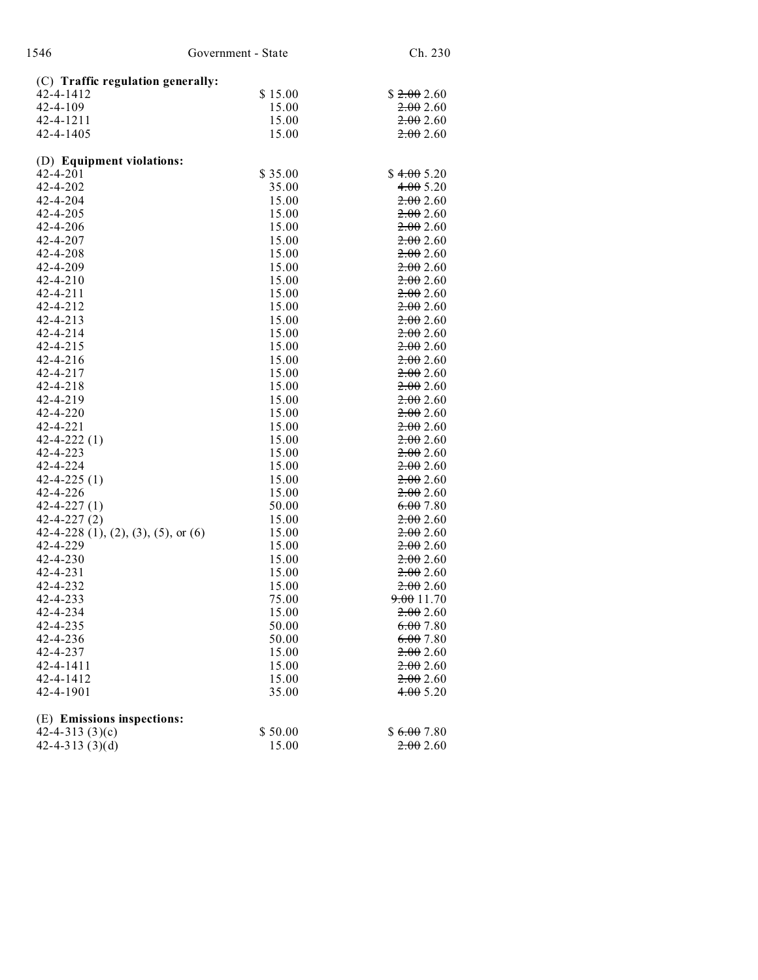| 1546                                              | Government - State                | Ch. 230    |  |  |
|---------------------------------------------------|-----------------------------------|------------|--|--|
|                                                   | (C) Traffic regulation generally: |            |  |  |
| 42-4-1412                                         | \$15.00                           | \$2.002.60 |  |  |
| $42 - 4 - 109$                                    | 15.00                             | 2.002.60   |  |  |
| 42-4-1211                                         | 15.00                             | 2.002.60   |  |  |
| 42-4-1405                                         | 15.00                             | 2.002.60   |  |  |
| (D) Equipment violations:                         |                                   |            |  |  |
| $42 - 4 - 201$                                    | \$35.00                           | \$4.005.20 |  |  |
| 42-4-202                                          | 35.00                             | 4.005.20   |  |  |
| $42 - 4 - 204$                                    | 15.00                             | 2.002.60   |  |  |
| 42-4-205                                          | 15.00                             | 2.002.60   |  |  |
| 42-4-206                                          | 15.00                             | 2.002.60   |  |  |
| 42-4-207                                          | 15.00                             | 2.002.60   |  |  |
| 42-4-208                                          | 15.00                             | 2.002.60   |  |  |
| 42-4-209                                          | 15.00                             | 2.002.60   |  |  |
| $42 - 4 - 210$                                    | 15.00                             | 2.002.60   |  |  |
| $42 - 4 - 211$                                    | 15.00                             | 2.002.60   |  |  |
| 42-4-212                                          | 15.00                             | 2.002.60   |  |  |
| $42 - 4 - 213$                                    | 15.00                             | 2.002.60   |  |  |
| 42-4-214                                          | 15.00                             | 2.002.60   |  |  |
| $42 - 4 - 215$                                    | 15.00                             | 2.002.60   |  |  |
| $42 - 4 - 216$                                    | 15.00                             | 2.002.60   |  |  |
| $42 - 4 - 217$                                    | 15.00                             | 2.002.60   |  |  |
| $42 - 4 - 218$                                    | 15.00                             | 2.002.60   |  |  |
| 42-4-219                                          | 15.00                             | 2.002.60   |  |  |
| $42 - 4 - 220$                                    | 15.00                             | 2.002.60   |  |  |
| 42-4-221                                          | 15.00                             | 2.002.60   |  |  |
| $42 - 4 - 222(1)$                                 | 15.00                             | 2.002.60   |  |  |
| 42-4-223                                          | 15.00                             | 2.002.60   |  |  |
| 42-4-224                                          | 15.00                             | 2.002.60   |  |  |
| $42 - 4 - 225(1)$                                 | 15.00                             | 2.002.60   |  |  |
| 42-4-226                                          | 15.00                             | 2.002.60   |  |  |
| $42 - 4 - 227(1)$                                 | 50.00                             | 6.007.80   |  |  |
| $42 - 4 - 227(2)$                                 | 15.00                             | 2.002.60   |  |  |
| 42-4-228 $(1)$ , $(2)$ , $(3)$ , $(5)$ , or $(6)$ | 15.00                             | 2.002.60   |  |  |
| 42-4-229                                          | 15.00                             | 2.002.60   |  |  |
| $42 - 4 - 230$                                    | 15.00                             | 2.002.60   |  |  |
| $42 - 4 - 231$                                    | 15.00                             | 2.002.60   |  |  |
| 42-4-232                                          | 15.00                             | 2.002.60   |  |  |
| 42-4-233                                          | 75.00                             | 9.0011.70  |  |  |
| 42-4-234                                          | 15.00                             | 2.002.60   |  |  |
| 42-4-235                                          | 50.00                             | 6.007.80   |  |  |
| 42-4-236                                          | 50.00                             | 6.007.80   |  |  |
| 42-4-237                                          | 15.00                             | 2.002.60   |  |  |
| 42-4-1411                                         | 15.00                             | 2.002.60   |  |  |
| 42-4-1412                                         | 15.00                             | 2.002.60   |  |  |
| 42-4-1901                                         | 35.00                             | 4.005.20   |  |  |
|                                                   |                                   |            |  |  |
| (E) Emissions inspections:                        |                                   |            |  |  |
| 42-4-313 $(3)(c)$                                 | \$50.00                           | \$6.007.80 |  |  |
| 42-4-313 $(3)(d)$                                 | 15.00                             | 2.002.60   |  |  |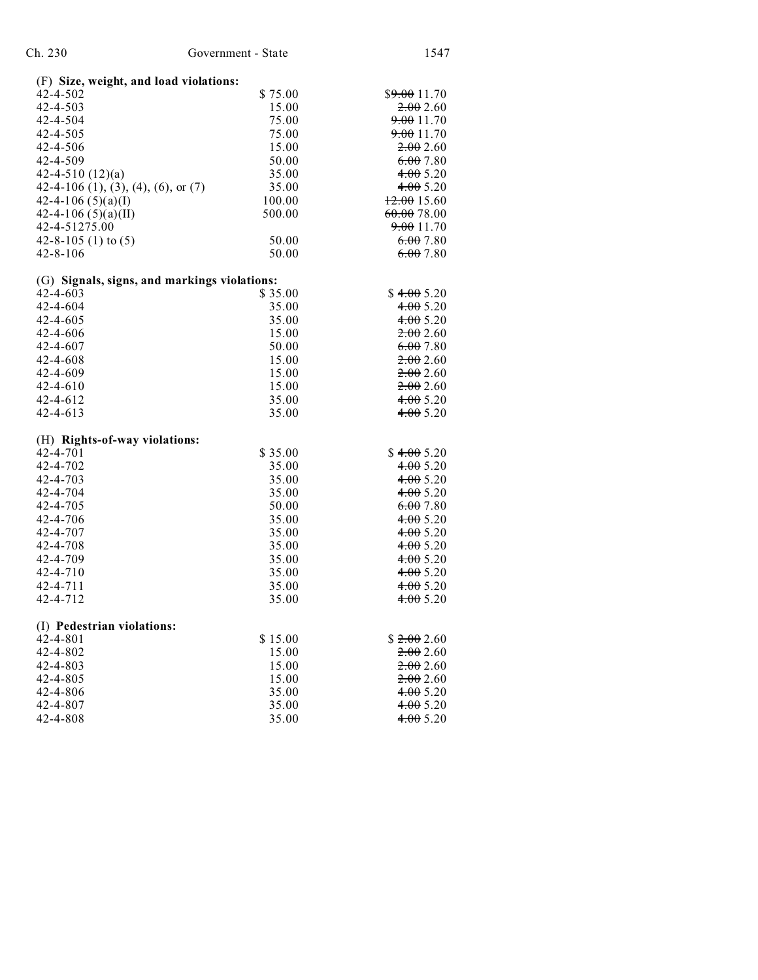| Ch. 230                                | Government - State                           | 1547         |
|----------------------------------------|----------------------------------------------|--------------|
| (F) Size, weight, and load violations: |                                              |              |
| 42-4-502                               | \$75.00                                      | \$9.0011.70  |
| 42-4-503                               | 15.00                                        | 2.002.60     |
| 42-4-504                               | 75.00                                        | 9.0011.70    |
| 42-4-505                               | 75.00                                        | 9.0011.70    |
| 42-4-506                               | 15.00                                        | 2.002.60     |
| 42-4-509                               | 50.00                                        | 6.007.80     |
| 42-4-510 $(12)(a)$                     | 35.00                                        | 4.005.20     |
| 42-4-106 (1), (3), (4), (6), or (7)    | 35.00                                        | 4.005.20     |
| 42-4-106 $(5)(a)(I)$                   | 100.00                                       | $+2.0015.60$ |
| 42-4-106 $(5)(a)(II)$                  | 500.00                                       | 60.00 78.00  |
| 42-4-51275.00                          |                                              | 9.0011.70    |
| 42-8-105 (1) to $(5)$                  | 50.00                                        | 6.007.80     |
| $42 - 8 - 106$                         | 50.00                                        | 6.007.80     |
|                                        | (G) Signals, signs, and markings violations: |              |
| $42 - 4 - 603$                         | \$35.00                                      | \$4.005.20   |
| 42-4-604                               | 35.00                                        | 4.005.20     |
| $42 - 4 - 605$                         | 35.00                                        | 4.005.20     |
| 42-4-606                               | 15.00                                        | 2.002.60     |
| $42 - 4 - 607$                         | 50.00                                        | 6.007.80     |
| 42-4-608                               | 15.00                                        | 2.002.60     |
| $42 - 4 - 609$                         | 15.00                                        | 2.002.60     |
| 42-4-610                               | 15.00                                        | 2.002.60     |
| $42 - 4 - 612$                         | 35.00                                        | 4.005.20     |
| $42 - 4 - 613$                         | 35.00                                        | 4.005.20     |
| (H) Rights-of-way violations:          |                                              |              |
| $42 - 4 - 701$                         | \$35.00                                      | \$4.005.20   |
| 42-4-702                               | 35.00                                        | 4.005.20     |
| $42 - 4 - 703$                         | 35.00                                        | 4.005.20     |
| 42-4-704                               | 35.00                                        | 4.005.20     |
| 42-4-705                               | 50.00                                        | 6.007.80     |
| 42-4-706                               | 35.00                                        | 4.005.20     |
| 42-4-707                               | 35.00                                        | 4.005.20     |
| 42-4-708                               | 35.00                                        | 4.005.20     |
| 42-4-709                               | 35.00                                        | 4.005.20     |
| 42-4-710                               | 35.00                                        | 4.005.20     |
| $42 - 4 - 711$                         | 35.00                                        | 4.005.20     |

| (I) Pedestrian violations: |         |            |
|----------------------------|---------|------------|
| $42 - 4 - 801$             | \$15.00 | \$2.002.60 |
| $42 - 4 - 802$             | 15.00   | 2.002.60   |
| $42 - 4 - 803$             | 15.00   | 2.002.60   |
| $42 - 4 - 805$             | 15.00   | 2.002.60   |
| 42-4-806                   | 35.00   | 4.005.20   |
| 42-4-807                   | 35.00   | 4.005.20   |
| 42-4-808                   | 35.00   | 4.005.20   |

4.00 5.20 4.00 5.20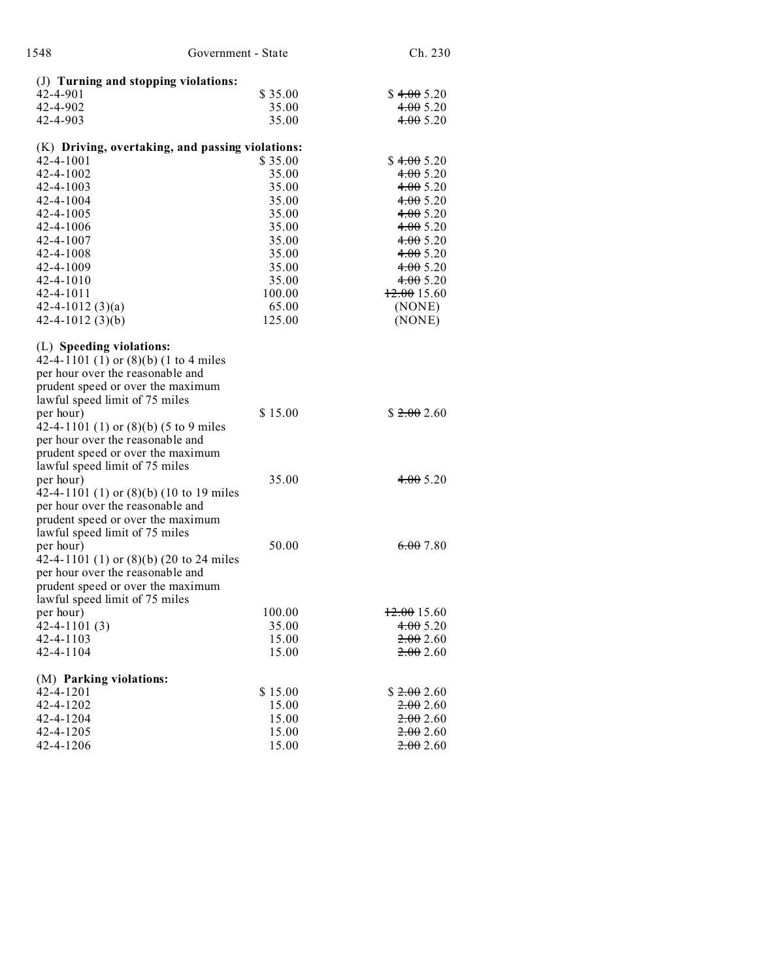| 1548                                                                        | Government - State | Ch. 230              |
|-----------------------------------------------------------------------------|--------------------|----------------------|
| (J) Turning and stopping violations:                                        |                    |                      |
| 42-4-901                                                                    | \$35.00            | \$4.005.20           |
| 42-4-902                                                                    | 35.00              | 4.005.20             |
| 42-4-903                                                                    | 35.00              | 4.005.20             |
| (K) Driving, overtaking, and passing violations:                            |                    |                      |
| 42-4-1001                                                                   | \$35.00            | \$4.005.20           |
| 42-4-1002                                                                   | 35.00              | 4.005.20             |
| 42-4-1003                                                                   | 35.00              | 4.005.20             |
| 42-4-1004                                                                   | 35.00              | 4.005.20             |
| 42-4-1005                                                                   | 35.00              | 4.005.20             |
| 42-4-1006                                                                   | 35.00              | 4.005.20             |
| 42-4-1007                                                                   | 35.00              | 4.005.20             |
| 42-4-1008                                                                   | 35.00              | 4.005.20             |
| 42-4-1009                                                                   | 35.00              | 4.005.20             |
| 42-4-1010                                                                   | 35.00              | 4.005.20             |
| 42-4-1011                                                                   | 100.00             | $+2.0015.60$         |
| $42 - 4 - 1012(3)(a)$                                                       | 65.00              | (NONE)               |
| $42 - 4 - 1012$ (3)(b)                                                      | 125.00             | (NONE)               |
| (L) Speeding violations:                                                    |                    |                      |
| 42-4-1101 (1) or (8)(b) (1 to 4 miles                                       |                    |                      |
| per hour over the reasonable and                                            |                    |                      |
| prudent speed or over the maximum                                           |                    |                      |
| lawful speed limit of 75 miles                                              |                    |                      |
| per hour)                                                                   | \$15.00            | \$2.002.60           |
| 42-4-1101 (1) or $(8)(b)$ (5 to 9 miles<br>per hour over the reasonable and |                    |                      |
| prudent speed or over the maximum                                           |                    |                      |
| lawful speed limit of 75 miles                                              |                    |                      |
| per hour)                                                                   | 35.00              | 4.005.20             |
| 42-4-1101 (1) or $(8)(b)$ (10 to 19 miles                                   |                    |                      |
| per hour over the reasonable and                                            |                    |                      |
| prudent speed or over the maximum                                           |                    |                      |
| lawful speed limit of 75 miles                                              |                    |                      |
| per hour)                                                                   | 50.00              | 6.007.80             |
| 42-4-1101 (1) or $(8)(b)$ (20 to 24 miles                                   |                    |                      |
| per hour over the reasonable and                                            |                    |                      |
| prudent speed or over the maximum                                           |                    |                      |
| lawful speed limit of 75 miles                                              |                    |                      |
| per hour)                                                                   | 100.00             | 12.0015.60           |
| $42 - 4 - 1101(3)$                                                          | 35.00              | 4.005.20             |
| 42-4-1103                                                                   | 15.00              | 2.002.60             |
| 42-4-1104                                                                   | 15.00              | <del>2.00</del> 2.60 |
| (M) Parking violations:                                                     |                    |                      |
| 42-4-1201                                                                   | \$15.00            | \$2.002.60           |
| 42-4-1202                                                                   | 15.00              | <del>2.00</del> 2.60 |
| 42-4-1204                                                                   | 15.00              | <del>2.00</del> 2.60 |
| 42-4-1205                                                                   | 15.00              | 2.00200              |
| 42-4-1206                                                                   | 15.00              | 2.002.60             |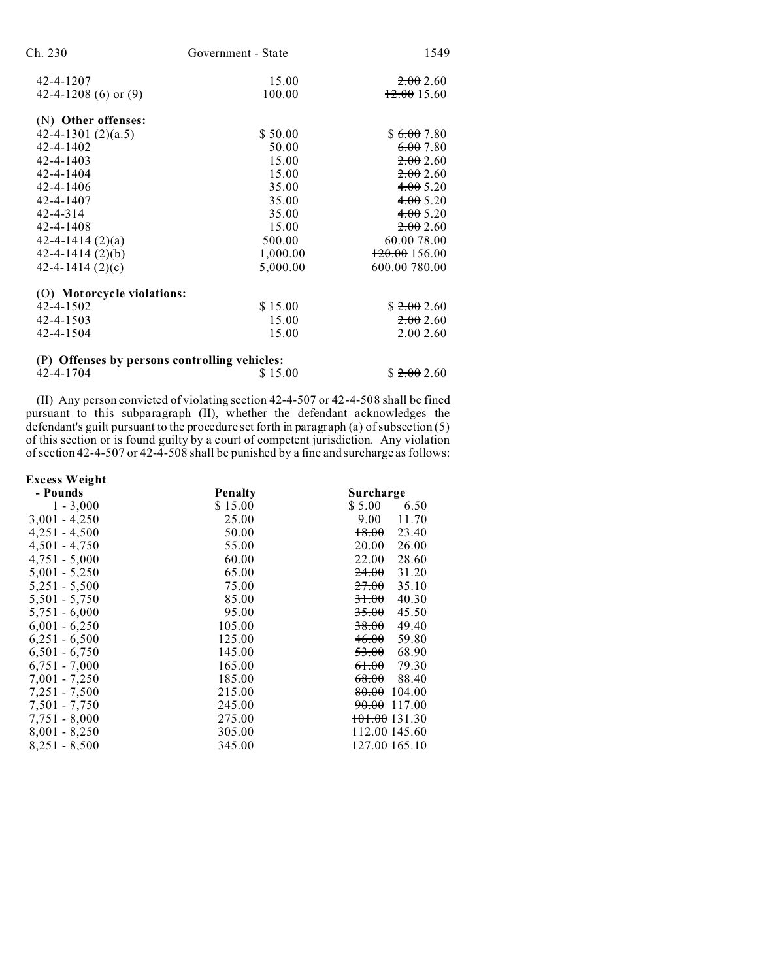| Ch. 230                                       | Government - State | 1549                     |
|-----------------------------------------------|--------------------|--------------------------|
| 42-4-1207                                     | 15.00              | 2.002.60                 |
| 42-4-1208 (6) or $(9)$                        | 100.00             | 12.0015.60               |
| (N) Other offenses:                           |                    |                          |
| 42-4-1301 $(2)(a.5)$                          | \$50.00            | \$6.007.80               |
| 42-4-1402                                     | 50.00              | 6.007.80                 |
| $42 - 4 - 1403$                               | 15.00              | 2.002.60                 |
| 42-4-1404                                     | 15.00              | 2.002.60                 |
| 42-4-1406                                     | 35.00              | 4.005.20                 |
| 42-4-1407                                     | 35.00              | 4.005.20                 |
| $42 - 4 - 314$                                | 35.00              | 4.005.20                 |
| 42-4-1408                                     | 15.00              | 2.002.60                 |
| $42 - 4 - 1414(2)(a)$                         | 500.00             | 60.00 78.00              |
| $42 - 4 - 1414(2)(b)$                         | 1,000.00           | <del>120.00</del> 156.00 |
| 42-4-1414 $(2)(c)$                            | 5,000.00           | 600.00 780.00            |
| (O) Motorcycle violations:                    |                    |                          |
| 42-4-1502                                     | \$15.00            | \$2.002.60               |
| $42 - 4 - 1503$                               | 15.00              | 2.002.60                 |
| 42-4-1504                                     | 15.00              | 2.002.60                 |
| (P) Offenses by persons controlling vehicles: |                    |                          |
| 42-4-1704                                     | \$15.00            | \$2.002.60               |

(II) Any person convicted of violating section 42-4-507 or 42-4-508 shall be fined pursuant to this subparagraph (II), whether the defendant acknowledges the defendant's guilt pursuant to the procedure set forth in paragraph (a) of subsection (5) of this section or is found guilty by a court of competent jurisdiction. Any violation of section 42-4-507 or 42-4-508 shall be punished by a fine and surcharge as follows:

| <b>Excess Weight</b> |         |                            |
|----------------------|---------|----------------------------|
| - Pounds             | Penalty | Surcharge                  |
| $1 - 3,000$          | \$15.00 | \$5.00<br>6.50             |
| $3,001 - 4,250$      | 25.00   | 9.00<br>11.70              |
| $4,251 - 4,500$      | 50.00   | <del>18.00</del><br>23.40  |
| $4,501 - 4,750$      | 55.00   | 20.00<br>26.00             |
| $4,751 - 5,000$      | 60.00   | 22.00<br>28.60             |
| $5,001 - 5,250$      | 65.00   | 24.00<br>31.20             |
| $5,251 - 5,500$      | 75.00   | <del>27.00</del><br>35.10  |
| $5,501 - 5,750$      | 85.00   | 40.30<br>31.00             |
| $5,751 - 6,000$      | 95.00   | 35.00<br>45.50             |
| $6,001 - 6,250$      | 105.00  | 49.40<br>38.00             |
| $6,251 - 6,500$      | 125.00  | 46.00<br>59.80             |
| $6,501 - 6,750$      | 145.00  | 53.00<br>68.90             |
| $6,751 - 7,000$      | 165.00  | 61.00<br>79.30             |
| $7,001 - 7,250$      | 185.00  | 68.00<br>88.40             |
| 7,251 - 7,500        | 215.00  | 80.00<br>104.00            |
| 7,501 - 7,750        | 245.00  | <del>90.00</del><br>117.00 |
| $7,751 - 8,000$      | 275.00  | <del>101.00</del> 131.30   |
| $8,001 - 8,250$      | 305.00  | <del>112.00</del> 145.60   |
| $8,251 - 8,500$      | 345.00  | $\frac{127.00}{165.10}$    |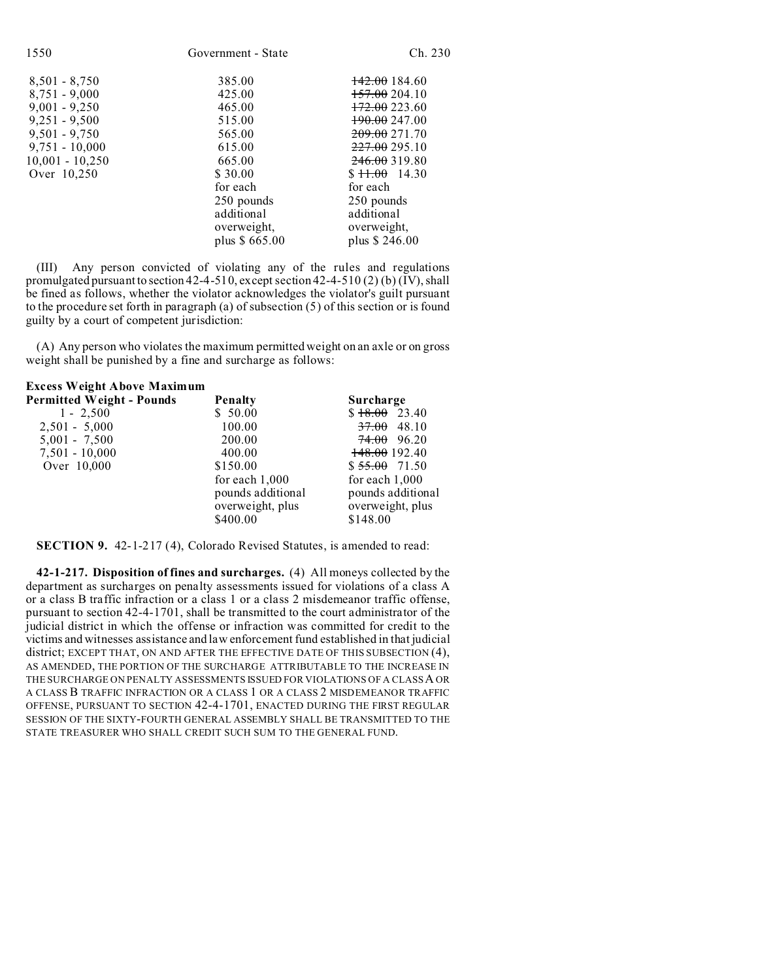| 1550              | Government - State | Ch. 230                  |
|-------------------|--------------------|--------------------------|
| $8,501 - 8,750$   | 385.00             | <del>142.00</del> 184.60 |
| $8,751 - 9,000$   | 425.00             | <del>157.00</del> 204.10 |
| $9,001 - 9,250$   | 465.00             | $+72.00223.60$           |
| $9,251 - 9,500$   | 515.00             | <del>190.00</del> 247.00 |
| $9,501 - 9,750$   | 565.00             | <del>209.00</del> 271.70 |
| $9,751 - 10,000$  | 615.00             | 227.00 295.10            |
| $10,001 - 10,250$ | 665.00             | 246.00 319.80            |
| Over 10,250       | \$30.00            | $$11.00$ 14.30           |
|                   | for each           | for each                 |
|                   | 250 pounds         | 250 pounds               |
|                   | additional         | additional               |
|                   | overweight,        | overweight,              |
|                   | plus \$665.00      | plus \$246.00            |

(III) Any person convicted of violating any of the rules and regulations promulgated pursuant to section 42-4-510, except section 42-4-510 (2) (b)  $\rm(\overline{IV})$ , shall be fined as follows, whether the violator acknowledges the violator's guilt pursuant to the procedure set forth in paragraph (a) of subsection (5) of this section or is found guilty by a court of competent jurisdiction:

(A) Any person who violates the maximum permitted weight on an axle or on gross weight shall be punished by a fine and surcharge as follows:

| <b>Excess Weight Above Maximum</b> |                                                                       |                                                                       |
|------------------------------------|-----------------------------------------------------------------------|-----------------------------------------------------------------------|
| <b>Permitted Weight - Pounds</b>   | <b>Penalty</b>                                                        | Surcharge                                                             |
| $1 - 2,500$                        | \$50.00                                                               | $$18.00$ 23.40                                                        |
| $2,501 - 5,000$                    | 100.00                                                                | $37.00$ 48.10                                                         |
| $5,001 - 7,500$                    | 200.00                                                                | 74.00 96.20                                                           |
| $7,501 - 10,000$                   | 400.00                                                                | 148.00 192.40                                                         |
| Over 10,000                        | \$150.00                                                              | $$55.00$ 71.50                                                        |
|                                    | for each $1,000$<br>pounds additional<br>overweight, plus<br>\$400.00 | for each $1,000$<br>pounds additional<br>overweight, plus<br>\$148.00 |
|                                    |                                                                       |                                                                       |

**SECTION 9.** 42-1-217 (4), Colorado Revised Statutes, is amended to read:

**42-1-217. Disposition of fines and surcharges.** (4) All moneys collected by the department as surcharges on penalty assessments issued for violations of a class A or a class B traffic infraction or a class 1 or a class 2 misdemeanor traffic offense, pursuant to section 42-4-1701, shall be transmitted to the court administrator of the judicial district in which the offense or infraction was committed for credit to the victims and witnesses assistance and law enforcement fund established in that judicial district; EXCEPT THAT, ON AND AFTER THE EFFECTIVE DATE OF THIS SUBSECTION (4), AS AMENDED, THE PORTION OF THE SURCHARGE ATTRIBUTABLE TO THE INCREASE IN THE SURCHARGE ON PENALTY ASSESSMENTS ISSUED FOR VIOLATIONS OF A CLASSA OR A CLASS B TRAFFIC INFRACTION OR A CLASS 1 OR A CLASS 2 MISDEMEANOR TRAFFIC OFFENSE, PURSUANT TO SECTION 42-4-1701, ENACTED DURING THE FIRST REGULAR SESSION OF THE SIXTY-FOURTH GENERAL ASSEMBLY SHALL BE TRANSMITTED TO THE STATE TREASURER WHO SHALL CREDIT SUCH SUM TO THE GENERAL FUND.